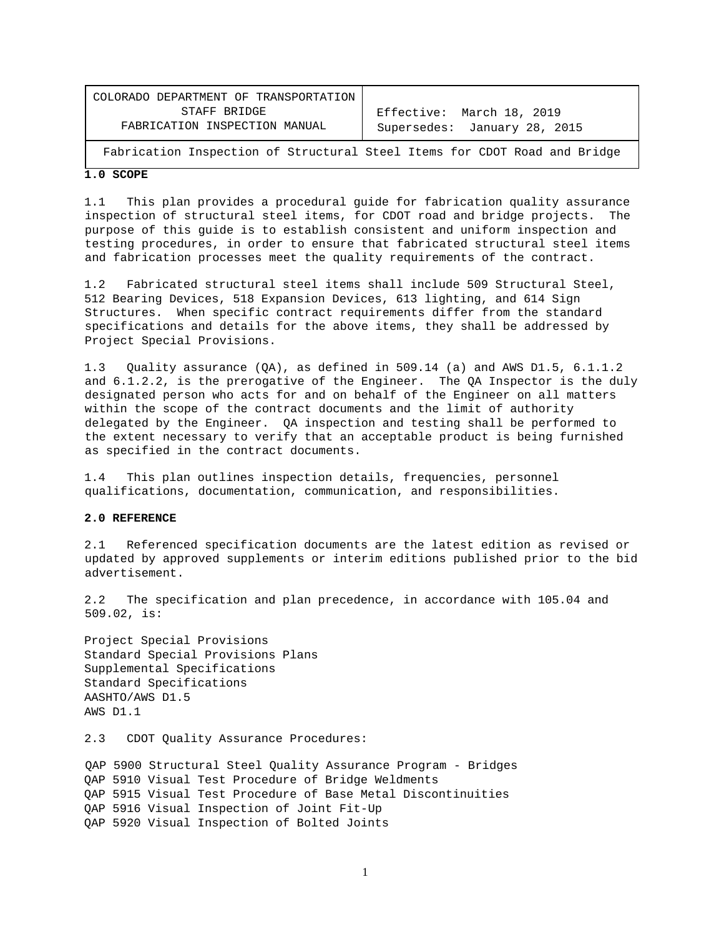| COLORADO DEPARTMENT OF TRANSPORTATION                                     |                              |
|---------------------------------------------------------------------------|------------------------------|
| STAFF BRIDGE                                                              | Effective: March 18, 2019    |
| FABRICATION INSPECTION MANUAL                                             | Supersedes: January 28, 2015 |
| Fabrication Inspection of Structural Steel Items for CDOT Road and Bridge |                              |

**1.0 SCOPE** 

1.1 This plan provides a procedural guide for fabrication quality assurance inspection of structural steel items, for CDOT road and bridge projects. The purpose of this guide is to establish consistent and uniform inspection and testing procedures, in order to ensure that fabricated structural steel items and fabrication processes meet the quality requirements of the contract.

1.2 Fabricated structural steel items shall include 509 Structural Steel, 512 Bearing Devices, 518 Expansion Devices, 613 lighting, and 614 Sign Structures. When specific contract requirements differ from the standard specifications and details for the above items, they shall be addressed by Project Special Provisions.

1.3 Quality assurance (QA), as defined in 509.14 (a) and AWS D1.5, 6.1.1.2 and 6.1.2.2, is the prerogative of the Engineer. The QA Inspector is the duly designated person who acts for and on behalf of the Engineer on all matters within the scope of the contract documents and the limit of authority delegated by the Engineer. QA inspection and testing shall be performed to the extent necessary to verify that an acceptable product is being furnished as specified in the contract documents.

1.4 This plan outlines inspection details, frequencies, personnel qualifications, documentation, communication, and responsibilities.

# **2.0 REFERENCE**

2.1 Referenced specification documents are the latest edition as revised or updated by approved supplements or interim editions published prior to the bid advertisement.

2.2 The specification and plan precedence, in accordance with 105.04 and 509.02, is:

Project Special Provisions Standard Special Provisions Plans Supplemental Specifications Standard Specifications AASHTO/AWS D1.5 AWS D1.1

2.3 CDOT Quality Assurance Procedures:

QAP 5900 Structural Steel Quality Assurance Program - Bridges QAP 5910 Visual Test Procedure of Bridge Weldments QAP 5915 Visual Test Procedure of Base Metal Discontinuities QAP 5916 Visual Inspection of Joint Fit-Up QAP 5920 Visual Inspection of Bolted Joints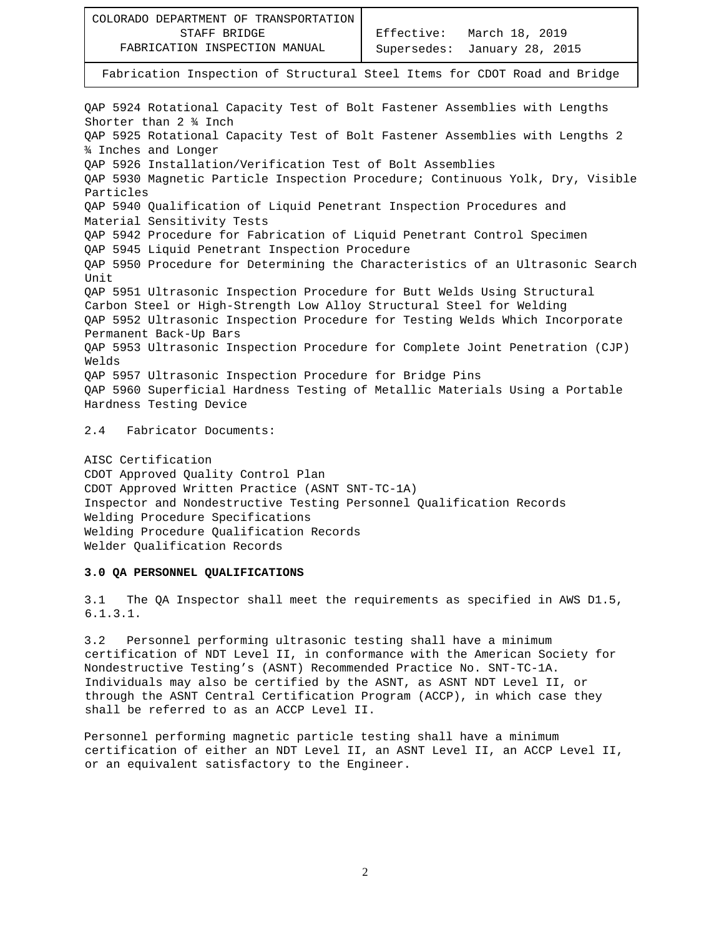| COLORADO DEPARTMENT OF TRANSPORTATION<br>STAFF BRIDGE<br>FABRICATION INSPECTION MANUAL                                                                                                                                                                                                                                                                                                                                                                                                                                                                                                                                                                                                       | Effective: March 18, 2019<br>Supersedes:<br>January 28, 2015 |
|----------------------------------------------------------------------------------------------------------------------------------------------------------------------------------------------------------------------------------------------------------------------------------------------------------------------------------------------------------------------------------------------------------------------------------------------------------------------------------------------------------------------------------------------------------------------------------------------------------------------------------------------------------------------------------------------|--------------------------------------------------------------|
| Fabrication Inspection of Structural Steel Items for CDOT Road and Bridge                                                                                                                                                                                                                                                                                                                                                                                                                                                                                                                                                                                                                    |                                                              |
| QAP 5924 Rotational Capacity Test of Bolt Fastener Assemblies with Lengths<br>Shorter than 2 1 Inch<br>QAP 5925 Rotational Capacity Test of Bolt Fastener Assemblies with Lengths 2<br>¥ Inches and Longer<br>QAP 5926 Installation/Verification Test of Bolt Assemblies<br>QAP 5930 Magnetic Particle Inspection Procedure; Continuous Yolk, Dry, Visible<br>Particles<br>QAP 5940 Qualification of Liquid Penetrant Inspection Procedures and<br>Material Sensitivity Tests<br>QAP 5942 Procedure for Fabrication of Liquid Penetrant Control Specimen<br>QAP 5945 Liquid Penetrant Inspection Procedure<br>QAP 5950 Procedure for Determining the Characteristics of an Ultrasonic Search |                                                              |
| Unit                                                                                                                                                                                                                                                                                                                                                                                                                                                                                                                                                                                                                                                                                         |                                                              |
| QAP 5951 Ultrasonic Inspection Procedure for Butt Welds Using Structural<br>Carbon Steel or High-Strength Low Alloy Structural Steel for Welding<br>QAP 5952 Ultrasonic Inspection Procedure for Testing Welds Which Incorporate<br>Permanent Back-Up Bars                                                                                                                                                                                                                                                                                                                                                                                                                                   |                                                              |
| QAP 5953 Ultrasonic Inspection Procedure for Complete Joint Penetration (CJP)<br>Welds                                                                                                                                                                                                                                                                                                                                                                                                                                                                                                                                                                                                       |                                                              |
| QAP 5957 Ultrasonic Inspection Procedure for Bridge Pins<br>QAP 5960 Superficial Hardness Testing of Metallic Materials Using a Portable<br>Hardness Testing Device                                                                                                                                                                                                                                                                                                                                                                                                                                                                                                                          |                                                              |

2.4 Fabricator Documents:

AISC Certification CDOT Approved Quality Control Plan CDOT Approved Written Practice (ASNT SNT-TC-1A) Inspector and Nondestructive Testing Personnel Qualification Records Welding Procedure Specifications Welding Procedure Qualification Records Welder Qualification Records

## **3.0 QA PERSONNEL QUALIFICATIONS**

3.1 The QA Inspector shall meet the requirements as specified in AWS D1.5, 6.1.3.1.

3.2 Personnel performing ultrasonic testing shall have a minimum certification of NDT Level II, in conformance with the American Society for Nondestructive Testing's (ASNT) Recommended Practice No. SNT-TC-1A. Individuals may also be certified by the ASNT, as ASNT NDT Level II, or through the ASNT Central Certification Program (ACCP), in which case they shall be referred to as an ACCP Level II.

Personnel performing magnetic particle testing shall have a minimum certification of either an NDT Level II, an ASNT Level II, an ACCP Level II, or an equivalent satisfactory to the Engineer.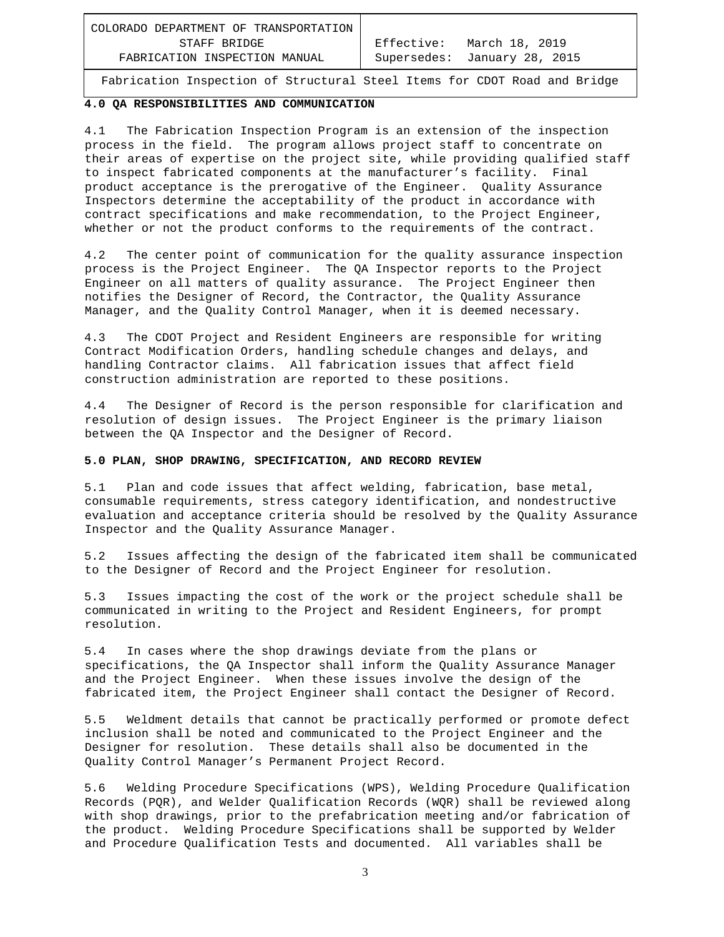COLORADO DEPARTMENT OF TRANSPORTATION STAFF BRIDGE FABRICATION INSPECTION MANUAL

 Effective: March 18, 2019 Supersedes: January 28, 2015

Fabrication Inspection of Structural Steel Items for CDOT Road and Bridge

# **4.0 QA RESPONSIBILITIES AND COMMUNICATION**

4.1 The Fabrication Inspection Program is an extension of the inspection process in the field. The program allows project staff to concentrate on their areas of expertise on the project site, while providing qualified staff to inspect fabricated components at the manufacturer's facility. Final product acceptance is the prerogative of the Engineer. Quality Assurance Inspectors determine the acceptability of the product in accordance with contract specifications and make recommendation, to the Project Engineer, whether or not the product conforms to the requirements of the contract.

4.2 The center point of communication for the quality assurance inspection process is the Project Engineer. The QA Inspector reports to the Project Engineer on all matters of quality assurance. The Project Engineer then notifies the Designer of Record, the Contractor, the Quality Assurance Manager, and the Quality Control Manager, when it is deemed necessary.

4.3 The CDOT Project and Resident Engineers are responsible for writing Contract Modification Orders, handling schedule changes and delays, and handling Contractor claims. All fabrication issues that affect field construction administration are reported to these positions.

4.4 The Designer of Record is the person responsible for clarification and resolution of design issues. The Project Engineer is the primary liaison between the QA Inspector and the Designer of Record.

#### **5.0 PLAN, SHOP DRAWING, SPECIFICATION, AND RECORD REVIEW**

5.1 Plan and code issues that affect welding, fabrication, base metal, consumable requirements, stress category identification, and nondestructive evaluation and acceptance criteria should be resolved by the Quality Assurance Inspector and the Quality Assurance Manager.

5.2 Issues affecting the design of the fabricated item shall be communicated to the Designer of Record and the Project Engineer for resolution.

5.3 Issues impacting the cost of the work or the project schedule shall be communicated in writing to the Project and Resident Engineers, for prompt resolution.

5.4 In cases where the shop drawings deviate from the plans or specifications, the QA Inspector shall inform the Quality Assurance Manager and the Project Engineer. When these issues involve the design of the fabricated item, the Project Engineer shall contact the Designer of Record.

5.5 Weldment details that cannot be practically performed or promote defect inclusion shall be noted and communicated to the Project Engineer and the Designer for resolution. These details shall also be documented in the Quality Control Manager's Permanent Project Record.

5.6 Welding Procedure Specifications (WPS), Welding Procedure Qualification Records (PQR), and Welder Qualification Records (WQR) shall be reviewed along with shop drawings, prior to the prefabrication meeting and/or fabrication of the product. Welding Procedure Specifications shall be supported by Welder and Procedure Qualification Tests and documented. All variables shall be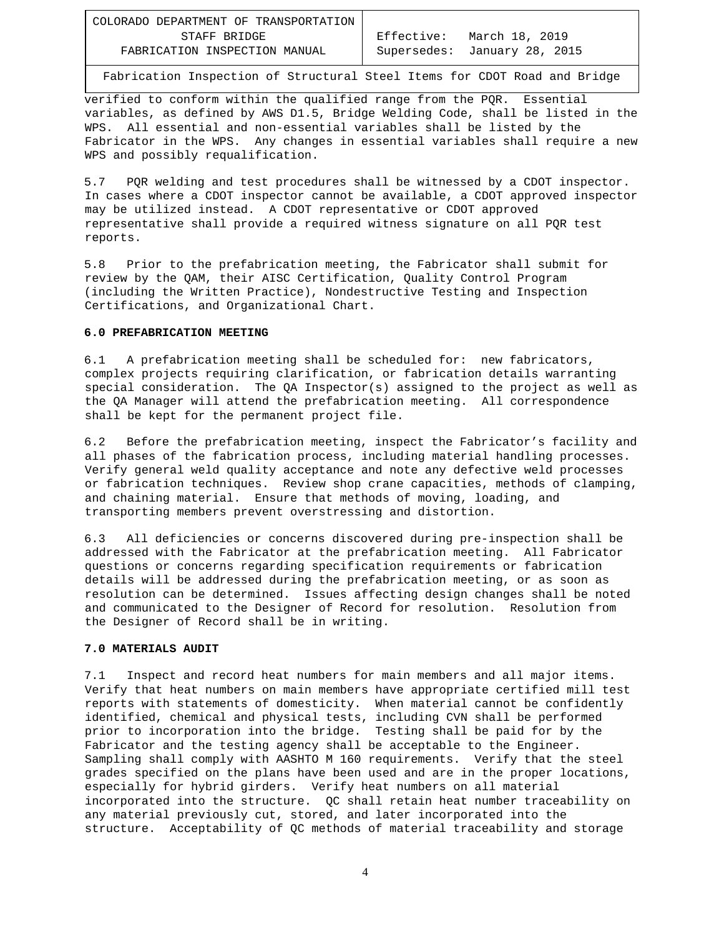verified to conform within the qualified range from the PQR. Essential variables, as defined by AWS D1.5, Bridge Welding Code, shall be listed in the WPS. All essential and non-essential variables shall be listed by the Fabricator in the WPS. Any changes in essential variables shall require a new WPS and possibly requalification.

5.7 PQR welding and test procedures shall be witnessed by a CDOT inspector. In cases where a CDOT inspector cannot be available, a CDOT approved inspector may be utilized instead. A CDOT representative or CDOT approved representative shall provide a required witness signature on all PQR test reports.

5.8 Prior to the prefabrication meeting, the Fabricator shall submit for review by the QAM, their AISC Certification, Quality Control Program (including the Written Practice), Nondestructive Testing and Inspection Certifications, and Organizational Chart.

## **6.0 PREFABRICATION MEETING**

6.1 A prefabrication meeting shall be scheduled for: new fabricators, complex projects requiring clarification, or fabrication details warranting special consideration. The QA Inspector(s) assigned to the project as well as the QA Manager will attend the prefabrication meeting. All correspondence shall be kept for the permanent project file.

6.2 Before the prefabrication meeting, inspect the Fabricator's facility and all phases of the fabrication process, including material handling processes. Verify general weld quality acceptance and note any defective weld processes or fabrication techniques. Review shop crane capacities, methods of clamping, and chaining material. Ensure that methods of moving, loading, and transporting members prevent overstressing and distortion.

6.3 All deficiencies or concerns discovered during pre-inspection shall be addressed with the Fabricator at the prefabrication meeting. All Fabricator questions or concerns regarding specification requirements or fabrication details will be addressed during the prefabrication meeting, or as soon as resolution can be determined. Issues affecting design changes shall be noted and communicated to the Designer of Record for resolution. Resolution from the Designer of Record shall be in writing.

### **7.0 MATERIALS AUDIT**

7.1 Inspect and record heat numbers for main members and all major items. Verify that heat numbers on main members have appropriate certified mill test reports with statements of domesticity. When material cannot be confidently identified, chemical and physical tests, including CVN shall be performed prior to incorporation into the bridge. Testing shall be paid for by the Fabricator and the testing agency shall be acceptable to the Engineer. Sampling shall comply with AASHTO M 160 requirements. Verify that the steel grades specified on the plans have been used and are in the proper locations, especially for hybrid girders. Verify heat numbers on all material incorporated into the structure. QC shall retain heat number traceability on any material previously cut, stored, and later incorporated into the structure. Acceptability of QC methods of material traceability and storage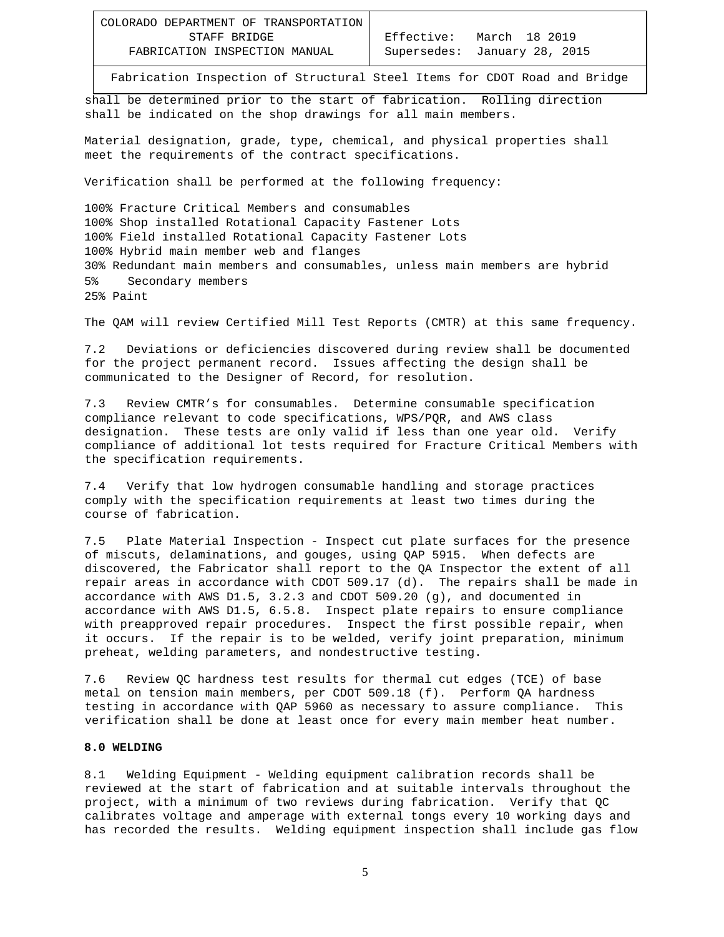| COLORADO DEPARTMENT OF TRANSPORTATION |             |                |
|---------------------------------------|-------------|----------------|
| STAFF BRIDGE                          | Effective:  | M              |
| FABRICATION INSPECTION MANUAL         | Supersedes: | $\overline{J}$ |

shall be determined prior to the start of fabrication. Rolling direction shall be indicated on the shop drawings for all main members.

Material designation, grade, type, chemical, and physical properties shall meet the requirements of the contract specifications.

Verification shall be performed at the following frequency:

100% Fracture Critical Members and consumables 100% Shop installed Rotational Capacity Fastener Lots 100% Field installed Rotational Capacity Fastener Lots 100% Hybrid main member web and flanges 30% Redundant main members and consumables, unless main members are hybrid 5% Secondary members 25% Paint

The QAM will review Certified Mill Test Reports (CMTR) at this same frequency.

7.2 Deviations or deficiencies discovered during review shall be documented for the project permanent record. Issues affecting the design shall be communicated to the Designer of Record, for resolution.

7.3 Review CMTR's for consumables. Determine consumable specification compliance relevant to code specifications, WPS/PQR, and AWS class designation. These tests are only valid if less than one year old. Verify compliance of additional lot tests required for Fracture Critical Members with the specification requirements.

7.4 Verify that low hydrogen consumable handling and storage practices comply with the specification requirements at least two times during the course of fabrication.

7.5 Plate Material Inspection - Inspect cut plate surfaces for the presence of miscuts, delaminations, and gouges, using QAP 5915. When defects are discovered, the Fabricator shall report to the QA Inspector the extent of all repair areas in accordance with CDOT 509.17 (d). The repairs shall be made in accordance with AWS D1.5, 3.2.3 and CDOT 509.20 (g), and documented in accordance with AWS D1.5, 6.5.8. Inspect plate repairs to ensure compliance with preapproved repair procedures. Inspect the first possible repair, when it occurs. If the repair is to be welded, verify joint preparation, minimum preheat, welding parameters, and nondestructive testing.

7.6 Review QC hardness test results for thermal cut edges (TCE) of base metal on tension main members, per CDOT 509.18 (f). Perform QA hardness testing in accordance with QAP 5960 as necessary to assure compliance. This verification shall be done at least once for every main member heat number.

## **8.0 WELDING**

8.1 Welding Equipment - Welding equipment calibration records shall be reviewed at the start of fabrication and at suitable intervals throughout the project, with a minimum of two reviews during fabrication. Verify that QC calibrates voltage and amperage with external tongs every 10 working days and has recorded the results. Welding equipment inspection shall include gas flow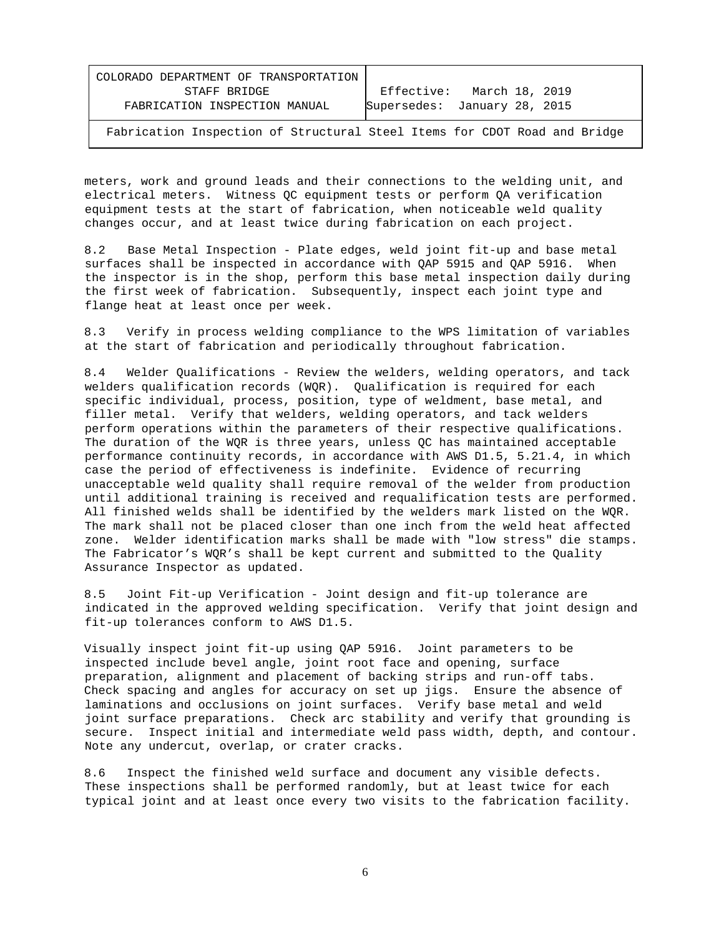| COLORADO DEPARTMENT OF TRANSPORTATION |                                                                           |
|---------------------------------------|---------------------------------------------------------------------------|
| STAFF BRIDGE                          | Effective: March 18, 2019                                                 |
| FABRICATION INSPECTION MANUAL         | Supersedes: January 28, 2015                                              |
|                                       | Fabrication Inspection of Structural Steel Items for CDOT Road and Bridge |

meters, work and ground leads and their connections to the welding unit, and electrical meters. Witness QC equipment tests or perform QA verification equipment tests at the start of fabrication, when noticeable weld quality changes occur, and at least twice during fabrication on each project.

8.2 Base Metal Inspection - Plate edges, weld joint fit-up and base metal surfaces shall be inspected in accordance with QAP 5915 and QAP 5916. When the inspector is in the shop, perform this base metal inspection daily during the first week of fabrication. Subsequently, inspect each joint type and flange heat at least once per week.

8.3 Verify in process welding compliance to the WPS limitation of variables at the start of fabrication and periodically throughout fabrication.

8.4 Welder Qualifications - Review the welders, welding operators, and tack welders qualification records (WQR). Qualification is required for each specific individual, process, position, type of weldment, base metal, and filler metal. Verify that welders, welding operators, and tack welders perform operations within the parameters of their respective qualifications. The duration of the WQR is three years, unless QC has maintained acceptable performance continuity records, in accordance with AWS D1.5, 5.21.4, in which case the period of effectiveness is indefinite. Evidence of recurring unacceptable weld quality shall require removal of the welder from production until additional training is received and requalification tests are performed. All finished welds shall be identified by the welders mark listed on the WQR. The mark shall not be placed closer than one inch from the weld heat affected zone. Welder identification marks shall be made with "low stress" die stamps. The Fabricator's WQR's shall be kept current and submitted to the Quality Assurance Inspector as updated.

8.5 Joint Fit-up Verification - Joint design and fit-up tolerance are indicated in the approved welding specification. Verify that joint design and fit-up tolerances conform to AWS D1.5.

Visually inspect joint fit-up using QAP 5916. Joint parameters to be inspected include bevel angle, joint root face and opening, surface preparation, alignment and placement of backing strips and run-off tabs. Check spacing and angles for accuracy on set up jigs. Ensure the absence of laminations and occlusions on joint surfaces. Verify base metal and weld joint surface preparations. Check arc stability and verify that grounding is secure. Inspect initial and intermediate weld pass width, depth, and contour. Note any undercut, overlap, or crater cracks.

8.6 Inspect the finished weld surface and document any visible defects. These inspections shall be performed randomly, but at least twice for each typical joint and at least once every two visits to the fabrication facility.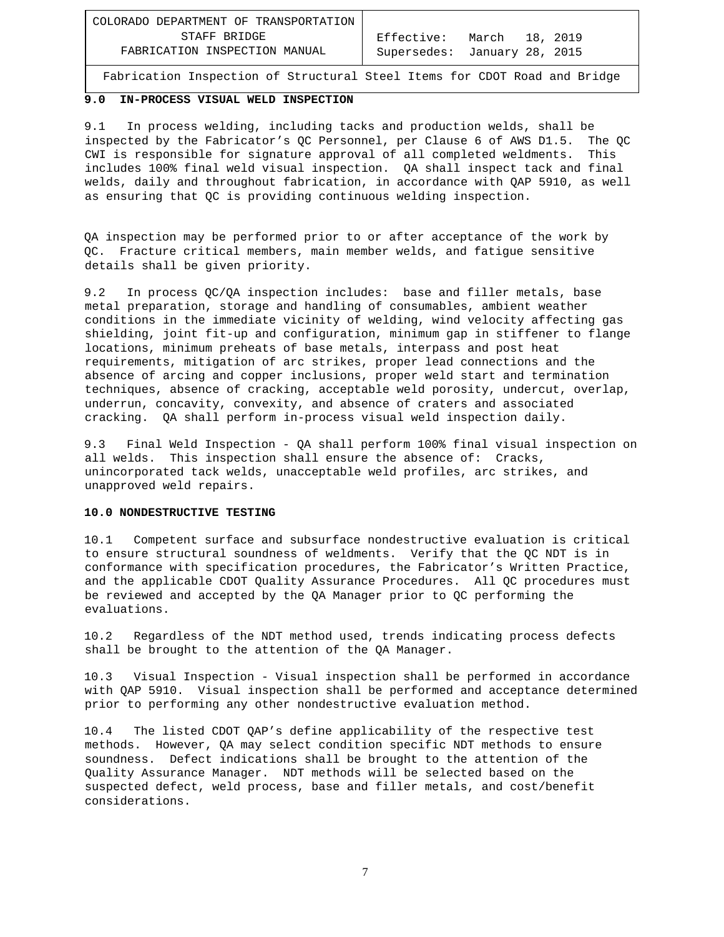| COLORADO DEPARTMENT OF TRANSPORTATION |                              |  |  |
|---------------------------------------|------------------------------|--|--|
| STAFF BRIDGE                          | Effective: March 18, 2019    |  |  |
| FABRICATION INSPECTION MANUAL         | Supersedes: January 28, 2015 |  |  |

# **9.0 IN-PROCESS VISUAL WELD INSPECTION**

9.1 In process welding, including tacks and production welds, shall be inspected by the Fabricator's QC Personnel, per Clause 6 of AWS D1.5. The QC CWI is responsible for signature approval of all completed weldments. This includes 100% final weld visual inspection. QA shall inspect tack and final welds, daily and throughout fabrication, in accordance with QAP 5910, as well as ensuring that QC is providing continuous welding inspection.

QA inspection may be performed prior to or after acceptance of the work by QC. Fracture critical members, main member welds, and fatigue sensitive details shall be given priority.

9.2 In process QC/QA inspection includes: base and filler metals, base metal preparation, storage and handling of consumables, ambient weather conditions in the immediate vicinity of welding, wind velocity affecting gas shielding, joint fit-up and configuration, minimum gap in stiffener to flange locations, minimum preheats of base metals, interpass and post heat requirements, mitigation of arc strikes, proper lead connections and the absence of arcing and copper inclusions, proper weld start and termination techniques, absence of cracking, acceptable weld porosity, undercut, overlap, underrun, concavity, convexity, and absence of craters and associated cracking. QA shall perform in-process visual weld inspection daily.

9.3 Final Weld Inspection - QA shall perform 100% final visual inspection on all welds. This inspection shall ensure the absence of: Cracks, unincorporated tack welds, unacceptable weld profiles, arc strikes, and unapproved weld repairs.

#### **10.0 NONDESTRUCTIVE TESTING**

10.1 Competent surface and subsurface nondestructive evaluation is critical to ensure structural soundness of weldments. Verify that the QC NDT is in conformance with specification procedures, the Fabricator's Written Practice, and the applicable CDOT Quality Assurance Procedures. All QC procedures must be reviewed and accepted by the QA Manager prior to QC performing the evaluations.

10.2 Regardless of the NDT method used, trends indicating process defects shall be brought to the attention of the QA Manager.

10.3 Visual Inspection - Visual inspection shall be performed in accordance with QAP 5910. Visual inspection shall be performed and acceptance determined prior to performing any other nondestructive evaluation method.

10.4 The listed CDOT QAP's define applicability of the respective test methods. However, QA may select condition specific NDT methods to ensure soundness. Defect indications shall be brought to the attention of the Quality Assurance Manager. NDT methods will be selected based on the suspected defect, weld process, base and filler metals, and cost/benefit considerations.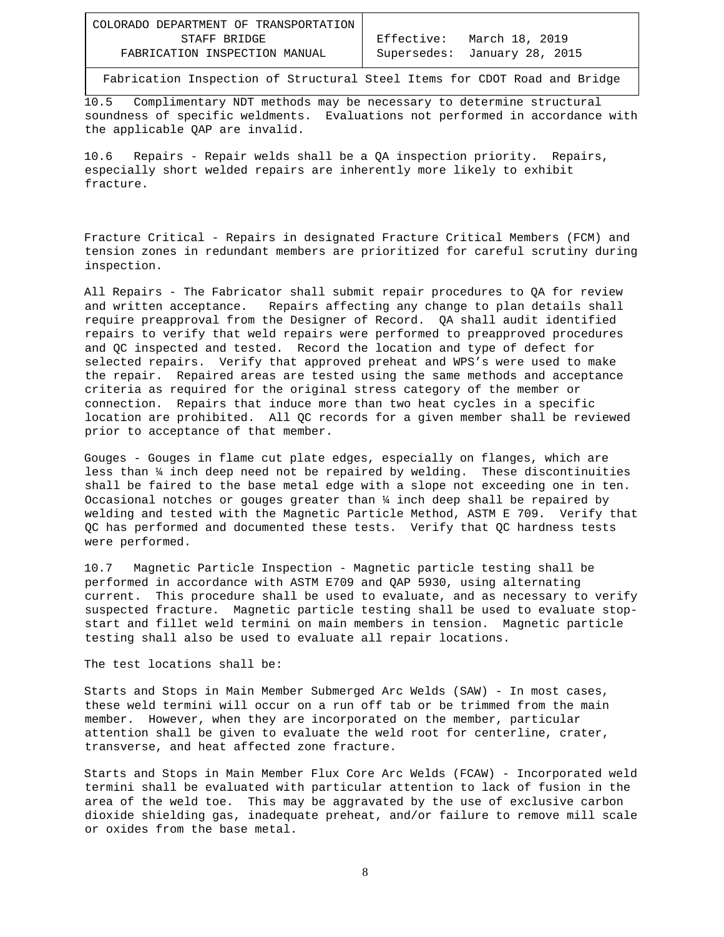10.5 Complimentary NDT methods may be necessary to determine structural soundness of specific weldments. Evaluations not performed in accordance with the applicable QAP are invalid.

10.6 Repairs - Repair welds shall be a QA inspection priority. Repairs, especially short welded repairs are inherently more likely to exhibit fracture.

Fracture Critical - Repairs in designated Fracture Critical Members (FCM) and tension zones in redundant members are prioritized for careful scrutiny during inspection.

All Repairs - The Fabricator shall submit repair procedures to QA for review and written acceptance. Repairs affecting any change to plan details shall require preapproval from the Designer of Record. QA shall audit identified repairs to verify that weld repairs were performed to preapproved procedures and QC inspected and tested. Record the location and type of defect for selected repairs. Verify that approved preheat and WPS's were used to make the repair. Repaired areas are tested using the same methods and acceptance criteria as required for the original stress category of the member or connection. Repairs that induce more than two heat cycles in a specific location are prohibited. All QC records for a given member shall be reviewed prior to acceptance of that member.

Gouges - Gouges in flame cut plate edges, especially on flanges, which are less than ¼ inch deep need not be repaired by welding. These discontinuities shall be faired to the base metal edge with a slope not exceeding one in ten. Occasional notches or gouges greater than ¼ inch deep shall be repaired by welding and tested with the Magnetic Particle Method, ASTM E 709. Verify that QC has performed and documented these tests. Verify that QC hardness tests were performed.

10.7 Magnetic Particle Inspection - Magnetic particle testing shall be performed in accordance with ASTM E709 and QAP 5930, using alternating current. This procedure shall be used to evaluate, and as necessary to verify suspected fracture. Magnetic particle testing shall be used to evaluate stopstart and fillet weld termini on main members in tension. Magnetic particle testing shall also be used to evaluate all repair locations.

The test locations shall be:

Starts and Stops in Main Member Submerged Arc Welds (SAW) - In most cases, these weld termini will occur on a run off tab or be trimmed from the main member. However, when they are incorporated on the member, particular attention shall be given to evaluate the weld root for centerline, crater, transverse, and heat affected zone fracture.

Starts and Stops in Main Member Flux Core Arc Welds (FCAW) - Incorporated weld termini shall be evaluated with particular attention to lack of fusion in the area of the weld toe. This may be aggravated by the use of exclusive carbon dioxide shielding gas, inadequate preheat, and/or failure to remove mill scale or oxides from the base metal.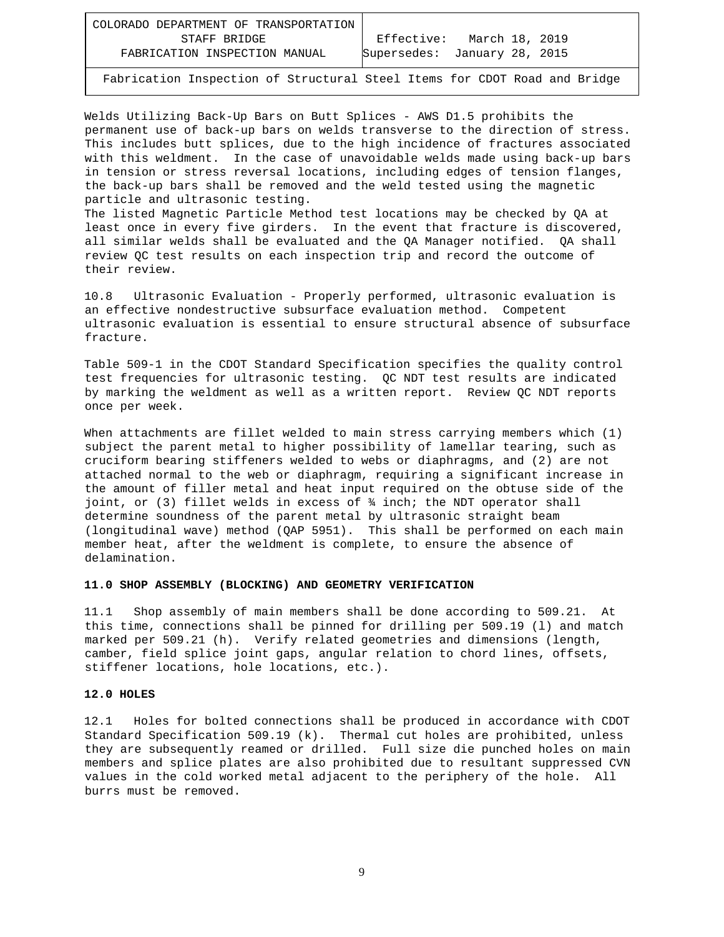COLORADO DEPARTMENT OF TRANSPORTATION STAFF BRIDGE FABRICATION INSPECTION MANUAL Effective: March 18, 2019 Supersedes: January 28, 2015

Fabrication Inspection of Structural Steel Items for CDOT Road and Bridge

Welds Utilizing Back-Up Bars on Butt Splices - AWS D1.5 prohibits the permanent use of back-up bars on welds transverse to the direction of stress. This includes butt splices, due to the high incidence of fractures associated with this weldment. In the case of unavoidable welds made using back-up bars in tension or stress reversal locations, including edges of tension flanges, the back-up bars shall be removed and the weld tested using the magnetic particle and ultrasonic testing.

The listed Magnetic Particle Method test locations may be checked by QA at least once in every five girders. In the event that fracture is discovered, all similar welds shall be evaluated and the QA Manager notified. QA shall review QC test results on each inspection trip and record the outcome of their review.

10.8 Ultrasonic Evaluation - Properly performed, ultrasonic evaluation is an effective nondestructive subsurface evaluation method. Competent ultrasonic evaluation is essential to ensure structural absence of subsurface fracture.

Table 509-1 in the CDOT Standard Specification specifies the quality control test frequencies for ultrasonic testing. QC NDT test results are indicated by marking the weldment as well as a written report. Review QC NDT reports once per week.

When attachments are fillet welded to main stress carrying members which (1) subject the parent metal to higher possibility of lamellar tearing, such as cruciform bearing stiffeners welded to webs or diaphragms, and (2) are not attached normal to the web or diaphragm, requiring a significant increase in the amount of filler metal and heat input required on the obtuse side of the joint, or (3) fillet welds in excess of ¾ inch; the NDT operator shall determine soundness of the parent metal by ultrasonic straight beam (longitudinal wave) method (QAP 5951). This shall be performed on each main member heat, after the weldment is complete, to ensure the absence of delamination.

#### **11.0 SHOP ASSEMBLY (BLOCKING) AND GEOMETRY VERIFICATION**

11.1 Shop assembly of main members shall be done according to 509.21. At this time, connections shall be pinned for drilling per 509.19 (l) and match marked per 509.21 (h). Verify related geometries and dimensions (length, camber, field splice joint gaps, angular relation to chord lines, offsets, stiffener locations, hole locations, etc.).

### **12.0 HOLES**

12.1 Holes for bolted connections shall be produced in accordance with CDOT Standard Specification 509.19 (k). Thermal cut holes are prohibited, unless they are subsequently reamed or drilled. Full size die punched holes on main members and splice plates are also prohibited due to resultant suppressed CVN values in the cold worked metal adjacent to the periphery of the hole. All burrs must be removed.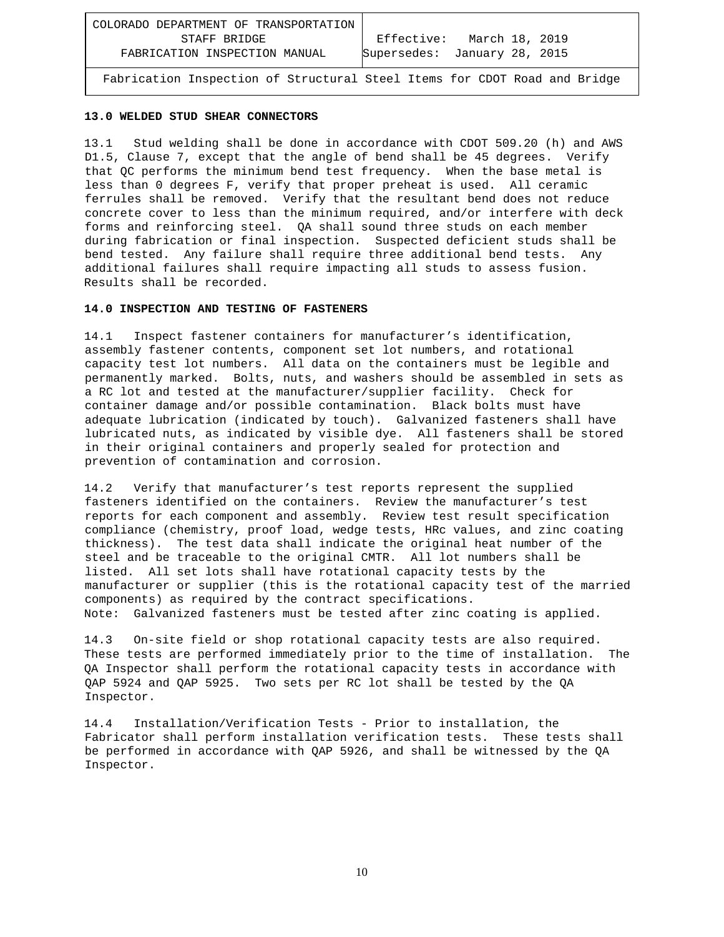COLORADO DEPARTMENT OF TRANSPORTATION STAFF BRIDGE FABRICATION INSPECTION MANUAL Effective: March 18, 2019 Supersedes: January 28, 2015

Fabrication Inspection of Structural Steel Items for CDOT Road and Bridge

# **13.0 WELDED STUD SHEAR CONNECTORS**

13.1 Stud welding shall be done in accordance with CDOT 509.20 (h) and AWS D1.5, Clause 7, except that the angle of bend shall be 45 degrees. Verify that QC performs the minimum bend test frequency. When the base metal is less than 0 degrees F, verify that proper preheat is used. All ceramic ferrules shall be removed. Verify that the resultant bend does not reduce concrete cover to less than the minimum required, and/or interfere with deck forms and reinforcing steel. QA shall sound three studs on each member during fabrication or final inspection. Suspected deficient studs shall be bend tested. Any failure shall require three additional bend tests. Any additional failures shall require impacting all studs to assess fusion. Results shall be recorded.

### **14.0 INSPECTION AND TESTING OF FASTENERS**

14.1 Inspect fastener containers for manufacturer's identification, assembly fastener contents, component set lot numbers, and rotational capacity test lot numbers. All data on the containers must be legible and permanently marked. Bolts, nuts, and washers should be assembled in sets as a RC lot and tested at the manufacturer/supplier facility. Check for container damage and/or possible contamination. Black bolts must have adequate lubrication (indicated by touch). Galvanized fasteners shall have lubricated nuts, as indicated by visible dye. All fasteners shall be stored in their original containers and properly sealed for protection and prevention of contamination and corrosion.

14.2 Verify that manufacturer's test reports represent the supplied fasteners identified on the containers. Review the manufacturer's test reports for each component and assembly. Review test result specification compliance (chemistry, proof load, wedge tests, HRc values, and zinc coating thickness). The test data shall indicate the original heat number of the steel and be traceable to the original CMTR. All lot numbers shall be listed. All set lots shall have rotational capacity tests by the manufacturer or supplier (this is the rotational capacity test of the married components) as required by the contract specifications. Note: Galvanized fasteners must be tested after zinc coating is applied.

14.3 On-site field or shop rotational capacity tests are also required. These tests are performed immediately prior to the time of installation. The QA Inspector shall perform the rotational capacity tests in accordance with QAP 5924 and QAP 5925. Two sets per RC lot shall be tested by the QA Inspector.

14.4 Installation/Verification Tests - Prior to installation, the Fabricator shall perform installation verification tests. These tests shall be performed in accordance with QAP 5926, and shall be witnessed by the QA Inspector.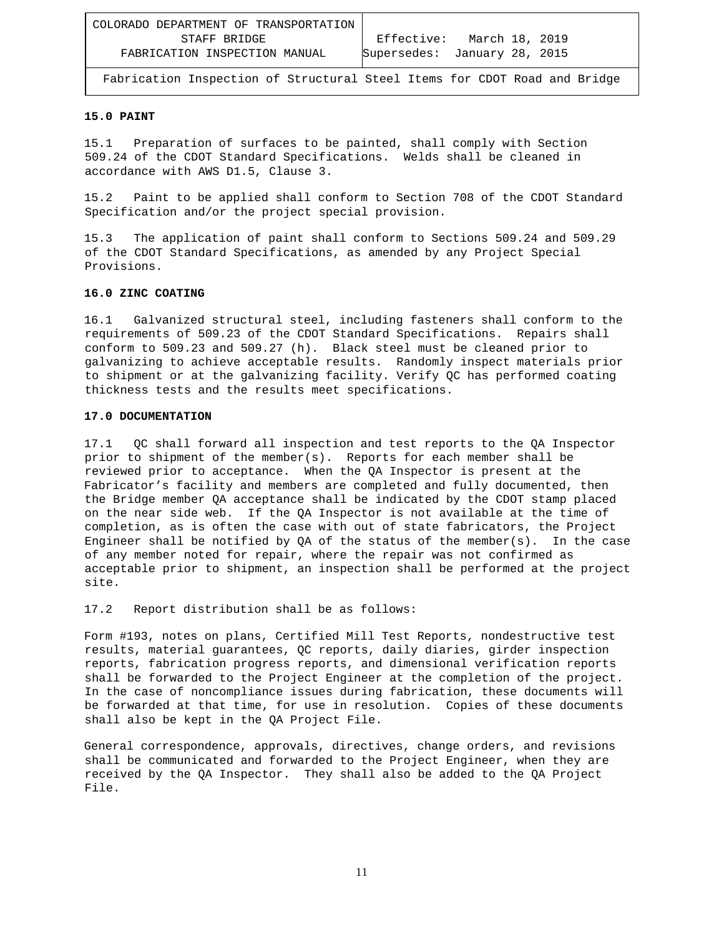## **15.0 PAINT**

15.1 Preparation of surfaces to be painted, shall comply with Section 509.24 of the CDOT Standard Specifications. Welds shall be cleaned in accordance with AWS D1.5, Clause 3.

15.2 Paint to be applied shall conform to Section 708 of the CDOT Standard Specification and/or the project special provision.

15.3 The application of paint shall conform to Sections 509.24 and 509.29 of the CDOT Standard Specifications, as amended by any Project Special Provisions.

### **16.0 ZINC COATING**

16.1 Galvanized structural steel, including fasteners shall conform to the requirements of 509.23 of the CDOT Standard Specifications. Repairs shall conform to 509.23 and 509.27 (h). Black steel must be cleaned prior to galvanizing to achieve acceptable results. Randomly inspect materials prior to shipment or at the galvanizing facility. Verify QC has performed coating thickness tests and the results meet specifications.

#### **17.0 DOCUMENTATION**

17.1 QC shall forward all inspection and test reports to the QA Inspector prior to shipment of the member(s). Reports for each member shall be reviewed prior to acceptance. When the QA Inspector is present at the Fabricator's facility and members are completed and fully documented, then the Bridge member QA acceptance shall be indicated by the CDOT stamp placed on the near side web. If the QA Inspector is not available at the time of completion, as is often the case with out of state fabricators, the Project Engineer shall be notified by QA of the status of the member(s). In the case of any member noted for repair, where the repair was not confirmed as acceptable prior to shipment, an inspection shall be performed at the project site.

17.2 Report distribution shall be as follows:

Form #193, notes on plans, Certified Mill Test Reports, nondestructive test results, material guarantees, QC reports, daily diaries, girder inspection reports, fabrication progress reports, and dimensional verification reports shall be forwarded to the Project Engineer at the completion of the project. In the case of noncompliance issues during fabrication, these documents will be forwarded at that time, for use in resolution. Copies of these documents shall also be kept in the QA Project File.

General correspondence, approvals, directives, change orders, and revisions shall be communicated and forwarded to the Project Engineer, when they are received by the QA Inspector. They shall also be added to the QA Project File.